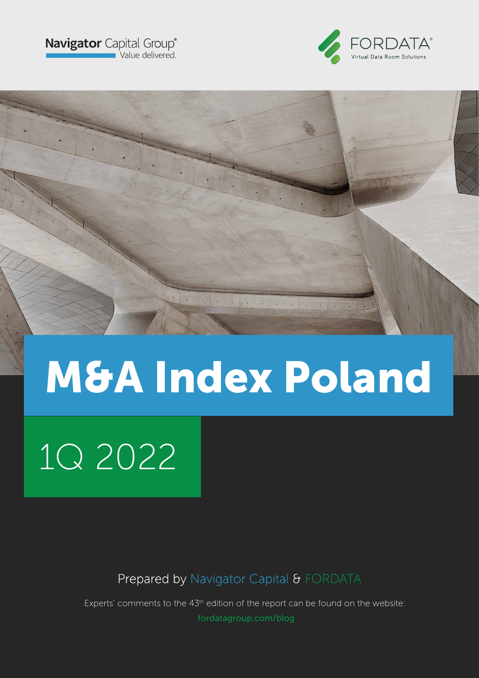



# M&A Index Poland

L. Brown

# 1Q 2022

Prepared by Navigator Capital & FORDATA

Experts' comments to the 43<sup>th</sup> edition of the report can be found on the website: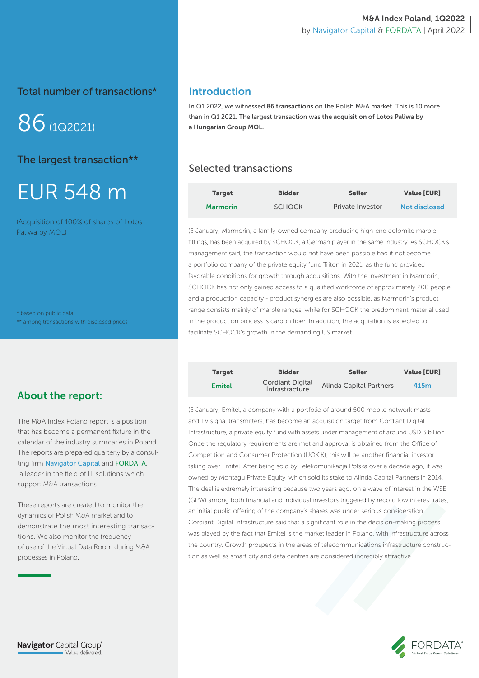Total number of transactions\*

86(1Q2021)

The largest transaction\*\*

# EUR 548 m

(Acquisition of 100% of shares of Lotos Paliwa by MOL)

\* based on public data \*\* among transactions with disclosed prices

### Introduction

In Q1 2022, we witnessed 86 transactions on the Polish M&A market. This is 10 more than in Q1 2021. The largest transaction was the acquisition of Lotos Paliwa by a Hungarian Group MOL.

# Selected transactions

| <b>Target</b>   | <b>Bidder</b> | <b>Seller</b>    | <b>Value [EUR]</b>   |
|-----------------|---------------|------------------|----------------------|
| <b>Marmorin</b> | <b>SCHOCK</b> | Private Investor | <b>Not disclosed</b> |

(5 January) Marmorin, a family-owned company producing high-end dolomite marble fittings, has been acquired by SCHOCK, a German player in the same industry. As SCHOCK's management said, the transaction would not have been possible had it not become a portfolio company of the private equity fund Triton in 2021, as the fund provided favorable conditions for growth through acquisitions. With the investment in Marmorin, SCHOCK has not only gained access to a qualified workforce of approximately 200 people and a production capacity - product synergies are also possible, as Marmorin's product range consists mainly of marble ranges, while for SCHOCK the predominant material used in the production process is carbon fiber. In addition, the acquisition is expected to facilitate SCHOCK's growth in the demanding US market.

| <b>Target</b> | <b>Bidder</b>                             | <b>Seller</b>                  | <b>Value [EUR]</b> |
|---------------|-------------------------------------------|--------------------------------|--------------------|
| <b>Emitel</b> | <b>Cordiant Digital</b><br>Infrastracture | <b>Alinda Capital Partners</b> | 415m               |

(5 January) Emitel, a company with a portfolio of around 500 mobile network masts and TV signal transmitters, has become an acquisition target from Cordiant Digital Infrastructure, a private equity fund with assets under management of around USD 3 billion. Once the regulatory requirements are met and approval is obtained from the Office of Competition and Consumer Protection (UOKiK), this will be another financial investor taking over Emitel. After being sold by Telekomunikacja Polska over a decade ago, it was owned by Montagu Private Equity, which sold its stake to Alinda Capital Partners in 2014. The deal is extremely interesting because two years ago, on a wave of interest in the WSE (GPW) among both financial and individual investors triggered by record low interest rates, an initial public offering of the company's shares was under serious consideration. Cordiant Digital Infrastructure said that a significant role in the decision-making process was played by the fact that Emitel is the market leader in Poland, with infrastructure across the country. Growth prospects in the areas of telecommunications infrastructure construction as well as smart city and data centres are considered incredibly attractive.

# About the report:

The M&A Index Poland report is a position that has become a permanent fixture in the calendar of the industry summaries in Poland. The reports are prepared quarterly by a consulting firm Navigator Capital and FORDATA, a leader in the field of IT solutions which support M&A transactions.

These reports are created to monitor the dynamics of Polish M&A market and to demonstrate the most interesting transactions. We also monitor the frequency of use of the Virtual Data Room during M&A processes in Poland.

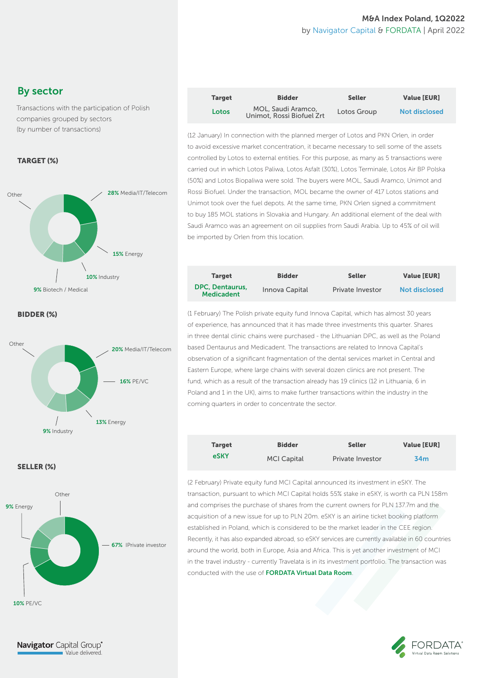#### M&A Index Poland, 1Q2022 by Navigator Capital & FORDATA | April 2022

# By sector

Transactions with the participation of Polish companies grouped by sectors (by number of transactions)

#### TARGET (%)



BIDDER (%)



#### SELLER (%)



| <b>Target</b> | <b>Bidder</b>                                   | <b>Seller</b> | <b>Value [EUR]</b>   |
|---------------|-------------------------------------------------|---------------|----------------------|
| Lotos         | MOL, Saudi Aramco,<br>Unimot, Rossi Biofuel Zrt | Lotos Group   | <b>Not disclosed</b> |

(12 January) In connection with the planned merger of Lotos and PKN Orlen, in order to avoid excessive market concentration, it became necessary to sell some of the assets controlled by Lotos to external entities. For this purpose, as many as 5 transactions were carried out in which Lotos Paliwa, Lotos Asfalt (30%), Lotos Terminale, Lotos Air BP Polska (50%) and Lotos Biopaliwa were sold. The buyers were MOL, Saudi Aramco, Unimot and Rossi Biofuel. Under the transaction, MOL became the owner of 417 Lotos stations and Unimot took over the fuel depots. At the same time, PKN Orlen signed a commitment to buy 185 MOL stations in Slovakia and Hungary. An additional element of the deal with Saudi Aramco was an agreement on oil supplies from Saudi Arabia. Up to 45% of oil will be imported by Orlen from this location.

| <b>Target</b>                               | <b>Bidder</b>  | <b>Seller</b>    | <b>Value [EUR]</b>   |
|---------------------------------------------|----------------|------------------|----------------------|
| <b>DPC. Dentaurus.</b><br><b>Medicadent</b> | Innova Capital | Private Investor | <b>Not disclosed</b> |

(1 February) The Polish private equity fund Innova Capital, which has almost 30 years of experience, has announced that it has made three investments this quarter. Shares in three dental clinic chains were purchased - the Lithuanian DPC, as well as the Poland based Dentaurus and Medicadent. The transactions are related to Innova Capital's observation of a significant fragmentation of the dental services market in Central and Eastern Europe, where large chains with several dozen clinics are not present. The fund, which as a result of the transaction already has 19 clinics (12 in Lithuania, 6 in Poland and 1 in the UK), aims to make further transactions within the industry in the coming quarters in order to concentrate the sector.

| <b>Target</b> | <b>Bidder</b>      | <b>Seller</b>           | <b>Value [EUR]</b> |
|---------------|--------------------|-------------------------|--------------------|
| eSKY          | <b>MCI Capital</b> | <b>Private Investor</b> | 34 <sub>m</sub>    |

(2 February) Private equity fund MCI Capital announced its investment in eSKY. The transaction, pursuant to which MCI Capital holds 55% stake in eSKY, is worth ca PLN 158m and comprises the purchase of shares from the current owners for PLN 137.7m and the acquisition of a new issue for up to PLN 20m. eSKY is an airline ticket booking platform established in Poland, which is considered to be the market leader in the CEE region. Recently, it has also expanded abroad, so eSKY services are currently available in 60 countries around the world, both in Europe, Asia and Africa. This is yet another investment of MCI in the travel industry - currently Travelata is in its investment portfolio. The transaction was conducted with the use of FORDATA Virtual Data Room.

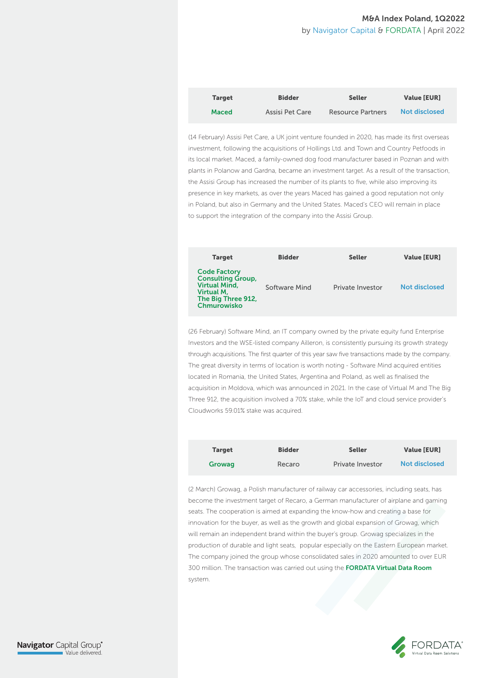#### M&A Index Poland, 1Q2022 by Navigator Capital & FORDATA | April 2022

| <b>Target</b> | <b>Bidder</b>   | <b>Seller</b>     | <b>Value [EUR]</b>   |
|---------------|-----------------|-------------------|----------------------|
| <b>Maced</b>  | Assisi Pet Care | Resource Partners | <b>Not disclosed</b> |

(14 February) Assisi Pet Care, a UK joint venture founded in 2020, has made its first overseas investment, following the acquisitions of Hollings Ltd. and Town and Country Petfoods in its local market. Maced, a family-owned dog food manufacturer based in Poznan and with plants in Polanow and Gardna, became an investment target. As a result of the transaction, the Assisi Group has increased the number of its plants to five, while also improving its presence in key markets, as over the years Maced has gained a good reputation not only in Poland, but also in Germany and the United States. Maced's CEO will remain in place to support the integration of the company into the Assisi Group.



(26 February) Software Mind, an IT company owned by the private equity fund Enterprise Investors and the WSE-listed company Ailleron, is consistently pursuing its growth strategy through acquisitions. The first quarter of this year saw five transactions made by the company. The great diversity in terms of location is worth noting - Software Mind acquired entities located in Romania, the United States, Argentina and Poland, as well as finalised the acquisition in Moldova, which was announced in 2021. In the case of Virtual M and The Big Three 912, the acquisition involved a 70% stake, while the IoT and cloud service provider's Cloudworks 59.01% stake was acquired.

| <b>Target</b> | <b>Bidder</b> | <b>Seller</b>           | <b>Value [EUR]</b>   |
|---------------|---------------|-------------------------|----------------------|
| Growag        | Recaro        | <b>Private Investor</b> | <b>Not disclosed</b> |

(2 March) Growag, a Polish manufacturer of railway car accessories, including seats, has become the investment target of Recaro, a German manufacturer of airplane and gaming seats. The cooperation is aimed at expanding the know-how and creating a base for innovation for the buyer, as well as the growth and global expansion of Growag, which will remain an independent brand within the buyer's group. Growag specializes in the production of durable and light seats, popular especially on the Eastern European market. The company joined the group whose consolidated sales in 2020 amounted to over EUR 300 million. The transaction was carried out using the FORDATA Virtual Data Room system.

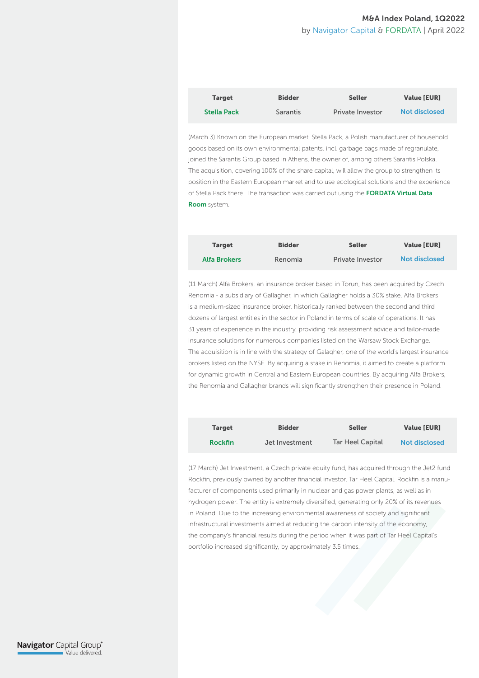#### M&A Index Poland, 1Q2022 by Navigator Capital & FORDATA | April 2022

| <b>Target</b>      | <b>Bidder</b>   | <b>Seller</b>    | <b>Value [EUR]</b> |
|--------------------|-----------------|------------------|--------------------|
| <b>Stella Pack</b> | <b>Sarantis</b> | Private Investor | Not disclosed      |

(March 3) Known on the European market, Stella Pack, a Polish manufacturer of household goods based on its own environmental patents, incl. garbage bags made of regranulate, joined the Sarantis Group based in Athens, the owner of, among others Sarantis Polska. The acquisition, covering 100% of the share capital, will allow the group to strengthen its position in the Eastern European market and to use ecological solutions and the experience of Stella Pack there. The transaction was carried out using the FORDATA Virtual Data Room system.

| <b>Target</b>       | <b>Bidder</b> | <b>Seller</b>           | <b>Value [EUR]</b>   |
|---------------------|---------------|-------------------------|----------------------|
| <b>Alfa Brokers</b> | Renomia       | <b>Private Investor</b> | <b>Not disclosed</b> |

(11 March) Alfa Brokers, an insurance broker based in Torun, has been acquired by Czech Renomia - a subsidiary of Gallagher, in which Gallagher holds a 30% stake. Alfa Brokers is a medium-sized insurance broker, historically ranked between the second and third dozens of largest entities in the sector in Poland in terms of scale of operations. It has 31 years of experience in the industry, providing risk assessment advice and tailor-made insurance solutions for numerous companies listed on the Warsaw Stock Exchange. The acquisition is in line with the strategy of Galagher, one of the world's largest insurance brokers listed on the NYSE. By acquiring a stake in Renomia, it aimed to create a platform for dynamic growth in Central and Eastern European countries. By acquiring Alfa Brokers, the Renomia and Gallagher brands will significantly strengthen their presence in Poland.

| <b>Target</b>  | <b>Bidder</b>  | <b>Seller</b>    | <b>Value [EUR]</b>   |
|----------------|----------------|------------------|----------------------|
| <b>Rockfin</b> | Jet Investment | Tar Heel Capital | <b>Not disclosed</b> |

(17 March) Jet Investment, a Czech private equity fund, has acquired through the Jet2 fund Rockfin, previously owned by another financial investor, Tar Heel Capital. Rockfin is a manufacturer of components used primarily in nuclear and gas power plants, as well as in hydrogen power. The entity is extremely diversified, generating only 20% of its revenues in Poland. Due to the increasing environmental awareness of society and significant infrastructural investments aimed at reducing the carbon intensity of the economy, the company's financial results during the period when it was part of Tar Heel Capital's portfolio increased significantly, by approximately 3.5 times.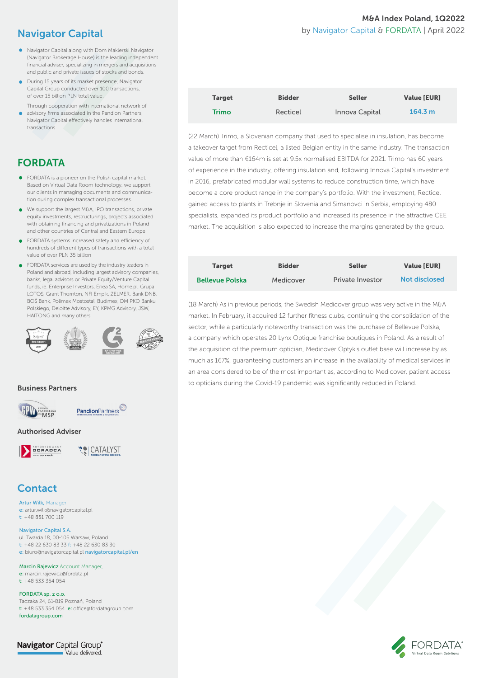# Navigator Capital

- Navigator Capital along with Dom Maklerski Navigator (Navigator Brokerage House) is the leading independent financial adviser, specializing in mergers and acquisitions and public and private issues of stocks and bonds.
- **During 15 years of its market presence, Navigator** Capital Group conducted over 100 transactions, of over 15 billion PLN total value.
- Through cooperation with international network of advisory firms associated in the Pandion Partners, Navigator Capital effectively handles international transactions.

# FORDATA

- **•** FORDATA is a pioneer on the Polish capital market. Based on Virtual Data Room technology, we support our clients in managing documents and communication during complex transactional processes.
- We support the largest M&A, IPO transactions, private equity investments, restructurings, projects associated with obtaining financing and privatizations in Poland and other countries of Central and Eastern Europe.
- **•** FORDATA systems increased safety and efficiency of hundreds of different types of transactions with a total value of over PLN 35 billion
- **•** FORDATA services are used by the industry leaders in Poland and abroad, including largest advisory companies, banks, legal advisors or Private Equity/Venture Capital funds, ie. Enterprise Investors, Enea SA, Home.pl, Grupa LOTOS, Grant Thornton, NFI Empik, ZELMER, Bank DNB, BOŚ Bank, Polimex Mostostal, Budimex, DM PKO Banku Polskiego, Deloitte Advisory, EY, KPMG Advisory, JSW, HAITONG and many others.



#### Business Partners





#### Authorised Adviser



**YO CATALYST** 

# **Contact**

Artur Wilk, Manager e: artur.wilk@navigatorcapital.pl t: +48 881 700 119

#### Navigator Capital S.A.

ul. Twarda 18, 00-105 Warsaw, Poland t: +48 22 630 83 33 f: +48 22 630 83 30 e: biuro@navigatorcapital.pl navigatorcapital.pl/en

Marcin Rajewicz Account Manager e: marcin.rajewicz@fordata.pl t: +48 533 354 054

FORDATA sp. z o.o. Taczaka 24, 61-819 Poznań, Poland t: +48 533 354 054 e: office@fordatagroup.com fordatagroup.com

**Navigator** Capital Group<sup>®</sup> Value delivered.

#### M&A Index Poland, 1Q2022 by Navigator Capital & FORDATA | April 2022

| <b>Target</b> | <b>Bidder</b> | <b>Seller</b>  | <b>Value [EUR]</b> |
|---------------|---------------|----------------|--------------------|
| <b>Trimo</b>  | Recticel      | Innova Capital | 164.3 m            |

(22 March) Trimo, a Slovenian company that used to specialise in insulation, has become a takeover target from Recticel, a listed Belgian entity in the same industry. The transaction value of more than €164m is set at 9.5x normalised EBITDA for 2021. Trimo has 60 years of experience in the industry, offering insulation and, following Innova Capital's investment in 2016, prefabricated modular wall systems to reduce construction time, which have become a core product range in the company's portfolio. With the investment, Recticel gained access to plants in Trebnje in Slovenia and Simanovci in Serbia, employing 480 specialists, expanded its product portfolio and increased its presence in the attractive CEE market. The acquisition is also expected to increase the margins generated by the group.

| <b>Target</b>          | <b>Bidder</b> | <b>Seller</b>    | <b>Value [EUR]</b>   |
|------------------------|---------------|------------------|----------------------|
| <b>Bellevue Polska</b> | Medicover     | Private Investor | <b>Not disclosed</b> |

(18 March) As in previous periods, the Swedish Medicover group was very active in the M&A market. In February, it acquired 12 further fitness clubs, continuing the consolidation of the sector, while a particularly noteworthy transaction was the purchase of Bellevue Polska, a company which operates 20 Lynx Optique franchise boutiques in Poland. As a result of the acquisition of the premium optician, Medicover Optyk's outlet base will increase by as much as 167%, guaranteeing customers an increase in the availability of medical services in an area considered to be of the most important as, according to Medicover, patient access to opticians during the Covid-19 pandemic was significantly reduced in Poland.

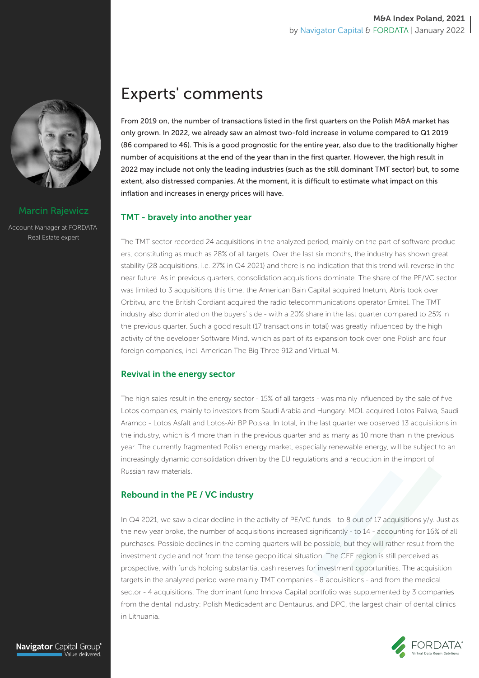

#### Marcin Rajewicz

Account Manager at FORDATA Real Estate expert

# Experts' comments

From 2019 on, the number of transactions listed in the first quarters on the Polish M&A market has only grown. In 2022, we already saw an almost two-fold increase in volume compared to Q1 2019 (86 compared to 46). This is a good prognostic for the entire year, also due to the traditionally higher number of acquisitions at the end of the year than in the first quarter. However, the high result in 2022 may include not only the leading industries (such as the still dominant TMT sector) but, to some extent, also distressed companies. At the moment, it is difficult to estimate what impact on this inflation and increases in energy prices will have.

#### TMT - bravely into another year

The TMT sector recorded 24 acquisitions in the analyzed period, mainly on the part of software producers, constituting as much as 28% of all targets. Over the last six months, the industry has shown great stability (28 acquisitions, i.e. 27% in Q4 2021) and there is no indication that this trend will reverse in the near future. As in previous quarters, consolidation acquisitions dominate. The share of the PE/VC sector was limited to 3 acquisitions this time: the American Bain Capital acquired Inetum, Abris took over Orbitvu, and the British Cordiant acquired the radio telecommunications operator Emitel. The TMT industry also dominated on the buyers' side - with a 20% share in the last quarter compared to 25% in the previous quarter. Such a good result (17 transactions in total) was greatly influenced by the high activity of the developer Software Mind, which as part of its expansion took over one Polish and four foreign companies, incl. American The Big Three 912 and Virtual M.

#### Revival in the energy sector

The high sales result in the energy sector - 15% of all targets - was mainly influenced by the sale of five Lotos companies, mainly to investors from Saudi Arabia and Hungary. MOL acquired Lotos Paliwa, Saudi Aramco - Lotos Asfalt and Lotos-Air BP Polska. In total, in the last quarter we observed 13 acquisitions in the industry, which is 4 more than in the previous quarter and as many as 10 more than in the previous year. The currently fragmented Polish energy market, especially renewable energy, will be subject to an increasingly dynamic consolidation driven by the EU regulations and a reduction in the import of Russian raw materials.

#### Rebound in the PE / VC industry

In Q4 2021, we saw a clear decline in the activity of PE/VC funds - to 8 out of 17 acquisitions y/y. Just as the new year broke, the number of acquisitions increased significantly - to 14 - accounting for 16% of all purchases. Possible declines in the coming quarters will be possible, but they will rather result from the investment cycle and not from the tense geopolitical situation. The CEE region is still perceived as prospective, with funds holding substantial cash reserves for investment opportunities. The acquisition targets in the analyzed period were mainly TMT companies - 8 acquisitions - and from the medical sector - 4 acquisitions. The dominant fund Innova Capital portfolio was supplemented by 3 companies from the dental industry: Polish Medicadent and Dentaurus, and DPC, the largest chain of dental clinics in Lithuania.

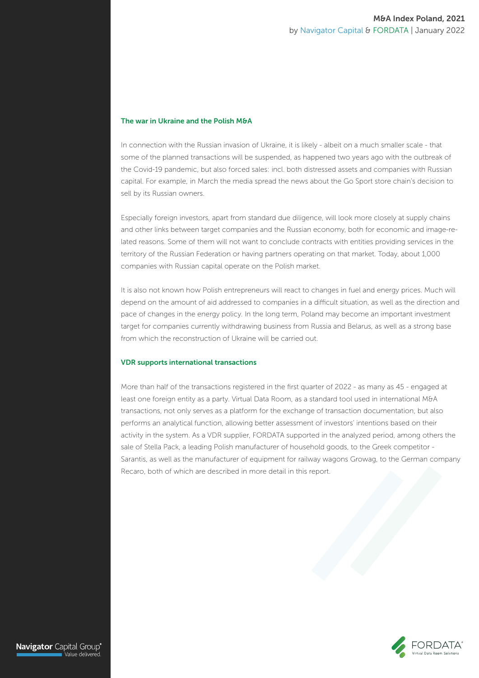#### The war in Ukraine and the Polish M&A

In connection with the Russian invasion of Ukraine, it is likely - albeit on a much smaller scale - that some of the planned transactions will be suspended, as happened two years ago with the outbreak of the Covid-19 pandemic, but also forced sales: incl. both distressed assets and companies with Russian capital. For example, in March the media spread the news about the Go Sport store chain's decision to sell by its Russian owners.

Especially foreign investors, apart from standard due diligence, will look more closely at supply chains and other links between target companies and the Russian economy, both for economic and image-related reasons. Some of them will not want to conclude contracts with entities providing services in the territory of the Russian Federation or having partners operating on that market. Today, about 1,000 companies with Russian capital operate on the Polish market.

It is also not known how Polish entrepreneurs will react to changes in fuel and energy prices. Much will depend on the amount of aid addressed to companies in a difficult situation, as well as the direction and pace of changes in the energy policy. In the long term, Poland may become an important investment target for companies currently withdrawing business from Russia and Belarus, as well as a strong base from which the reconstruction of Ukraine will be carried out.

#### VDR supports international transactions

More than half of the transactions registered in the first quarter of 2022 - as many as 45 - engaged at least one foreign entity as a party. Virtual Data Room, as a standard tool used in international M&A transactions, not only serves as a platform for the exchange of transaction documentation, but also performs an analytical function, allowing better assessment of investors' intentions based on their activity in the system. As a VDR supplier, FORDATA supported in the analyzed period, among others the sale of Stella Pack, a leading Polish manufacturer of household goods, to the Greek competitor - Sarantis, as well as the manufacturer of equipment for railway wagons Growag, to the German company Recaro, both of which are described in more detail in this report.



Navigator Capital Group® .<br>Value delivered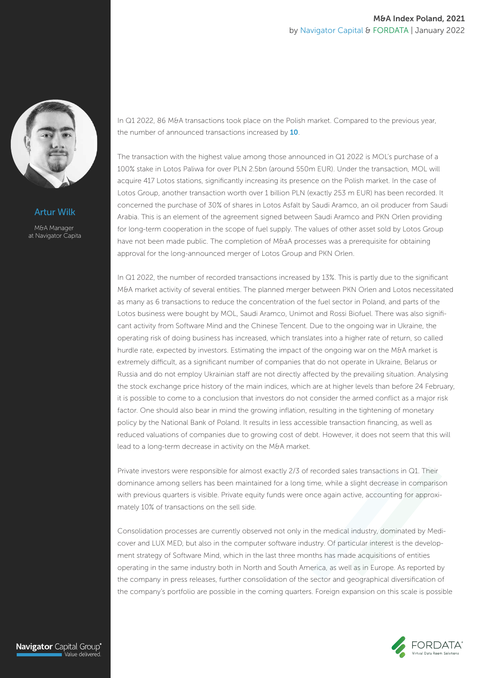

Artur Wilk

M&A Manager at Navigator Capita In Q1 2022, 86 M&A transactions took place on the Polish market. Compared to the previous year, the number of announced transactions increased by 10.

The transaction with the highest value among those announced in Q1 2022 is MOL's purchase of a 100% stake in Lotos Paliwa for over PLN 2.5bn (around 550m EUR). Under the transaction, MOL will acquire 417 Lotos stations, significantly increasing its presence on the Polish market. In the case of Lotos Group, another transaction worth over 1 billion PLN (exactly 253 m EUR) has been recorded. It concerned the purchase of 30% of shares in Lotos Asfalt by Saudi Aramco, an oil producer from Saudi Arabia. This is an element of the agreement signed between Saudi Aramco and PKN Orlen providing for long-term cooperation in the scope of fuel supply. The values of other asset sold by Lotos Group have not been made public. The completion of M&aA processes was a prerequisite for obtaining approval for the long-announced merger of Lotos Group and PKN Orlen.

In Q1 2022, the number of recorded transactions increased by 13%. This is partly due to the significant M&A market activity of several entities. The planned merger between PKN Orlen and Lotos necessitated as many as 6 transactions to reduce the concentration of the fuel sector in Poland, and parts of the Lotos business were bought by MOL, Saudi Aramco, Unimot and Rossi Biofuel. There was also significant activity from Software Mind and the Chinese Tencent. Due to the ongoing war in Ukraine, the operating risk of doing business has increased, which translates into a higher rate of return, so called hurdle rate, expected by investors. Estimating the impact of the ongoing war on the M&A market is extremely difficult, as a significant number of companies that do not operate in Ukraine, Belarus or Russia and do not employ Ukrainian staff are not directly affected by the prevailing situation. Analysing the stock exchange price history of the main indices, which are at higher levels than before 24 February, it is possible to come to a conclusion that investors do not consider the armed conflict as a major risk factor. One should also bear in mind the growing inflation, resulting in the tightening of monetary policy by the National Bank of Poland. It results in less accessible transaction financing, as well as reduced valuations of companies due to growing cost of debt. However, it does not seem that this will lead to a long-term decrease in activity on the M&A market.

Private investors were responsible for almost exactly 2/3 of recorded sales transactions in Q1. Their dominance among sellers has been maintained for a long time, while a slight decrease in comparison with previous quarters is visible. Private equity funds were once again active, accounting for approximately 10% of transactions on the sell side.

Consolidation processes are currently observed not only in the medical industry, dominated by Medicover and LUX MED, but also in the computer software industry. Of particular interest is the development strategy of Software Mind, which in the last three months has made acquisitions of entities operating in the same industry both in North and South America, as well as in Europe. As reported by the company in press releases, further consolidation of the sector and geographical diversification of the company's portfolio are possible in the coming quarters. Foreign expansion on this scale is possible